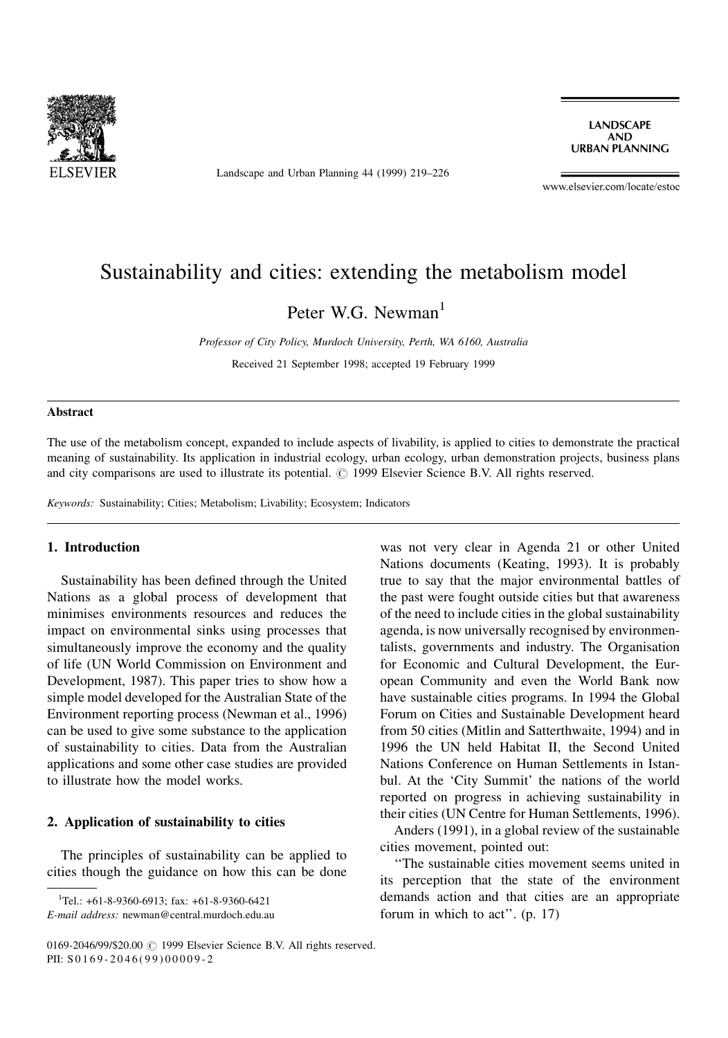

Landscape and Urban Planning  $44$  (1999) 219-226

**LANDSCAPE AND URBAN PLANNING** 

www.elsevier.com/locate/estoc

# Sustainability and cities: extending the metabolism model

Peter  $W$ G. Newman<sup>1</sup>

Professor of City Policy, Murdoch University, Perth, WA 6160, Australia

Received 21 September 1998; accepted 19 February 1999

#### Abstract

The use of the metabolism concept, expanded to include aspects of livability, is applied to cities to demonstrate the practical meaning of sustainability. Its application in industrial ecology, urban ecology, urban demonstration projects, business plans and city comparisons are used to illustrate its potential.  $\odot$  1999 Elsevier Science B.V. All rights reserved.

Keywords: Sustainability; Cities; Metabolism; Livability; Ecosystem; Indicators

#### 1. Introduction

Sustainability has been defined through the United Nations as a global process of development that minimises environments resources and reduces the impact on environmental sinks using processes that simultaneously improve the economy and the quality of life (UN World Commission on Environment and Development, 1987). This paper tries to show how a simple model developed for the Australian State of the Environment reporting process (Newman et al., 1996) can be used to give some substance to the application of sustainability to cities. Data from the Australian applications and some other case studies are provided to illustrate how the model works.

# 2. Application of sustainability to cities

The principles of sustainability can be applied to cities though the guidance on how this can be done

1 Tel.: +61-8-9360-6913; fax: +61-8-9360-6421

E-mail address: newman@central.murdoch.edu.au

was not very clear in Agenda 21 or other United Nations documents (Keating, 1993). It is probably true to say that the major environmental battles of the past were fought outside cities but that awareness of the need to include cities in the global sustainability agenda, is now universally recognised by environmentalists, governments and industry. The Organisation for Economic and Cultural Development, the European Community and even the World Bank now have sustainable cities programs. In 1994 the Global Forum on Cities and Sustainable Development heard from 50 cities (Mitlin and Satterthwaite, 1994) and in 1996 the UN held Habitat II, the Second United Nations Conference on Human Settlements in Istanbul. At the `City Summit' the nations of the world reported on progress in achieving sustainability in their cities (UN Centre for Human Settlements, 1996).

Anders (1991), in a global review of the sustainable cities movement, pointed out:

``The sustainable cities movement seems united in its perception that the state of the environment demands action and that cities are an appropriate forum in which to act''. (p. 17)

<sup>0169-2046/99/\$20.00 © 1999</sup> Elsevier Science B.V. All rights reserved. PII: S 0169-2046(99)00009-2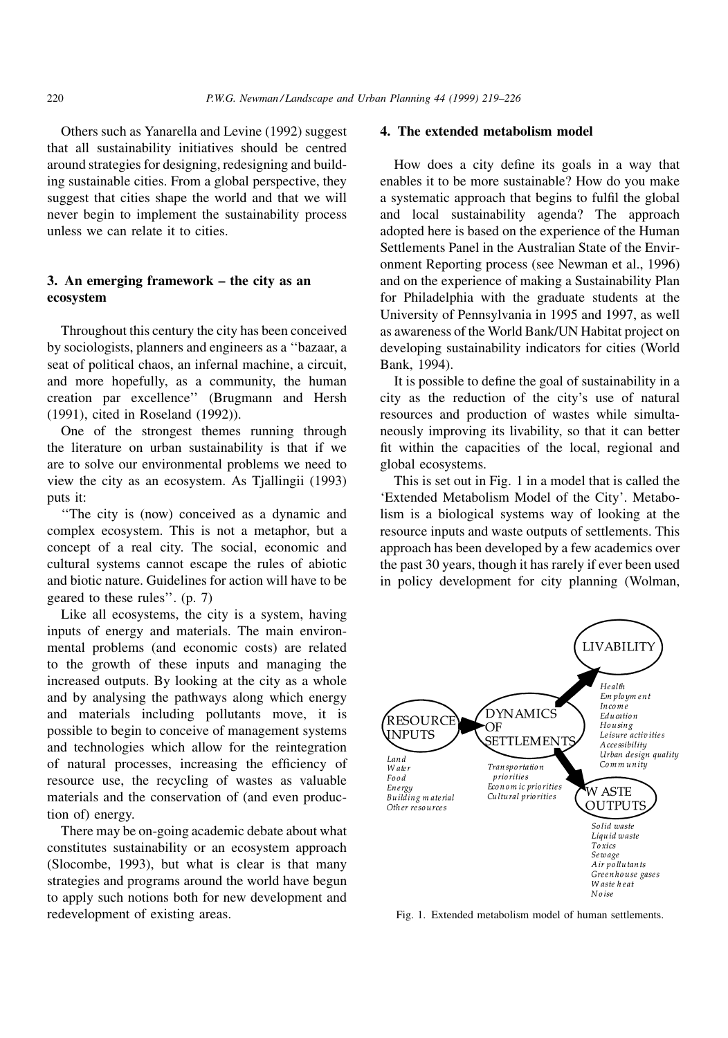Others such as Yanarella and Levine (1992) suggest that all sustainability initiatives should be centred around strategies for designing, redesigning and building sustainable cities. From a global perspective, they suggest that cities shape the world and that we will never begin to implement the sustainability process unless we can relate it to cities.

# 3. An emerging framework  $-$  the city as an ecosystem

Throughout this century the city has been conceived by sociologists, planners and engineers as a "bazaar, a seat of political chaos, an infernal machine, a circuit, and more hopefully, as a community, the human creation par excellence'' (Brugmann and Hersh (1991), cited in Roseland (1992)).

One of the strongest themes running through the literature on urban sustainability is that if we are to solve our environmental problems we need to view the city as an ecosystem. As Tjallingii (1993) puts it:

``The city is (now) conceived as a dynamic and complex ecosystem. This is not a metaphor, but a concept of a real city. The social, economic and cultural systems cannot escape the rules of abiotic and biotic nature. Guidelines for action will have to be geared to these rules''. (p. 7)

Like all ecosystems, the city is a system, having inputs of energy and materials. The main environmental problems (and economic costs) are related to the growth of these inputs and managing the increased outputs. By looking at the city as a whole and by analysing the pathways along which energy and materials including pollutants move, it is possible to begin to conceive of management systems and technologies which allow for the reintegration of natural processes, increasing the efficiency of resource use, the recycling of wastes as valuable materials and the conservation of (and even production of) energy.

There may be on-going academic debate about what constitutes sustainability or an ecosystem approach (Slocombe, 1993), but what is clear is that many strategies and programs around the world have begun to apply such notions both for new development and redevelopment of existing areas.

#### 4. The extended metabolism model

How does a city define its goals in a way that enables it to be more sustainable? How do you make a systematic approach that begins to fulfil the global and local sustainability agenda? The approach adopted here is based on the experience of the Human Settlements Panel in the Australian State of the Environment Reporting process (see Newman et al., 1996) and on the experience of making a Sustainability Plan for Philadelphia with the graduate students at the University of Pennsylvania in 1995 and 1997, as well as awareness of the World Bank/UN Habitat project on developing sustainability indicators for cities (World Bank, 1994).

It is possible to define the goal of sustainability in a city as the reduction of the city's use of natural resources and production of wastes while simultaneously improving its livability, so that it can better fit within the capacities of the local, regional and global ecosystems.

This is set out in Fig. 1 in a model that is called the `Extended Metabolism Model of the City'. Metabolism is a biological systems way of looking at the resource inputs and waste outputs of settlements. This approach has been developed by a few academics over the past 30 years, though it has rarely if ever been used in policy development for city planning (Wolman,



Fig. 1. Extended metabolism model of human settlements.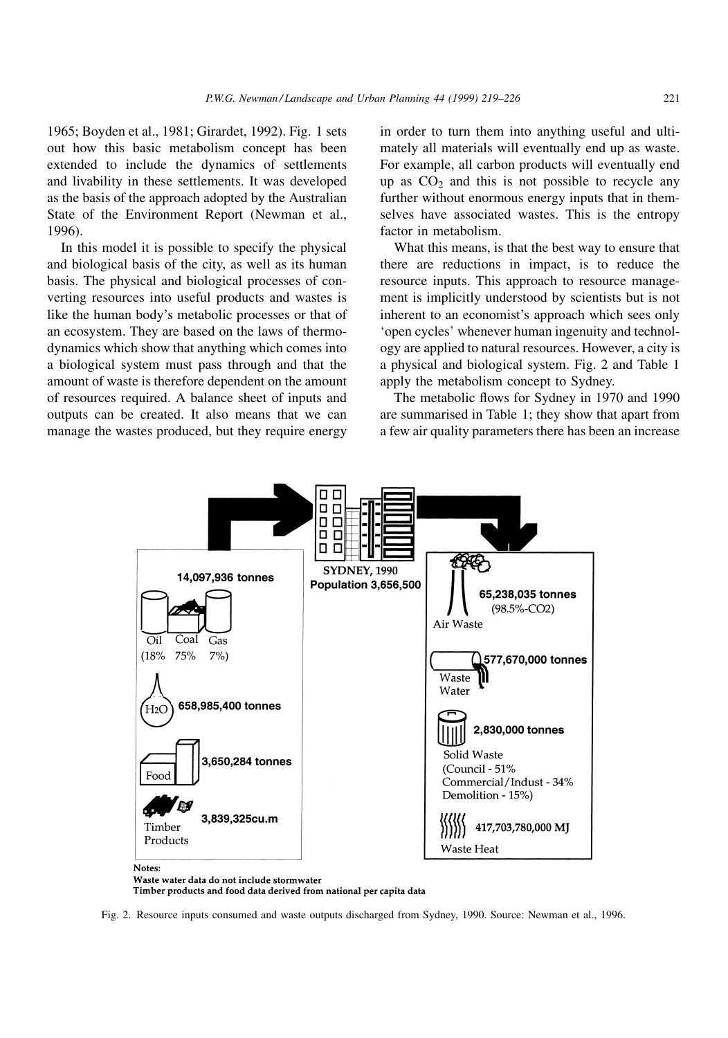1965; Boyden et al., 1981; Girardet, 1992). Fig. 1 sets out how this basic metabolism concept has been extended to include the dynamics of settlements and livability in these settlements. It was developed as the basis of the approach adopted by the Australian State of the Environment Report (Newman et al., 1996).

In this model it is possible to specify the physical and biological basis of the city, as well as its human basis. The physical and biological processes of converting resources into useful products and wastes is like the human body's metabolic processes or that of an ecosystem. They are based on the laws of thermodynamics which show that anything which comes into a biological system must pass through and that the amount of waste is therefore dependent on the amount of resources required. A balance sheet of inputs and outputs can be created. It also means that we can manage the wastes produced, but they require energy

in order to turn them into anything useful and ultimately all materials will eventually end up as waste. For example, all carbon products will eventually end up as  $CO<sub>2</sub>$  and this is not possible to recycle any further without enormous energy inputs that in themselves have associated wastes. This is the entropy factor in metabolism.

What this means, is that the best way to ensure that there are reductions in impact, is to reduce the resource inputs. This approach to resource management is implicitly understood by scientists but is not inherent to an economist's approach which sees only `open cycles' whenever human ingenuity and technology are applied to natural resources. However, a city is a physical and biological system. Fig. 2 and Table 1 apply the metabolism concept to Sydney.

The metabolic flows for Sydney in 1970 and 1990 are summarised in Table 1; they show that apart from a few air quality parameters there has been an increase



Timber products and food data derived from national per capita data

Fig. 2. Resource inputs consumed and waste outputs discharged from Sydney, 1990. Source: Newman et al., 1996.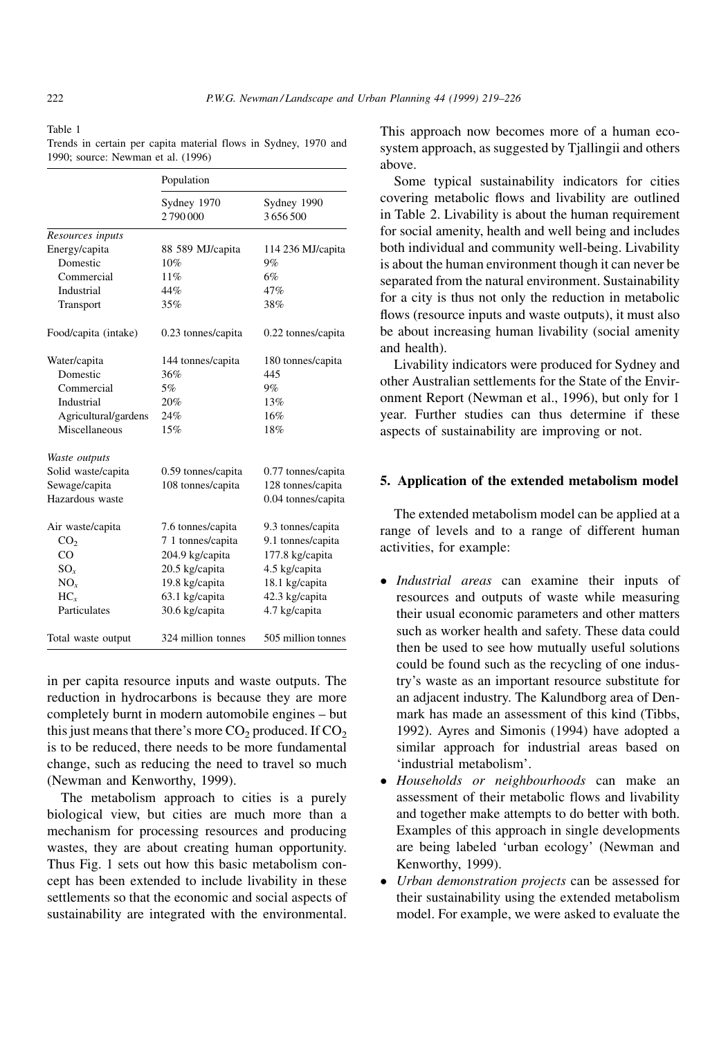Trends in certain per capita material flows in Sydney, 1970 and 1990; source: Newman et al. (1996)

Population

|                      | ropulation             |                        |
|----------------------|------------------------|------------------------|
|                      | Sydney 1970<br>2790000 | Sydney 1990<br>3656500 |
| Resources inputs     |                        |                        |
| Energy/capita        | 88 589 MJ/capita       | 114 236 MJ/capita      |
| Domestic             | 10%                    | 9%                     |
| Commercial           | 11%                    | 6%                     |
| Industrial           | 44%                    | 47%                    |
| Transport            | 35%                    | 38%                    |
| Food/capita (intake) | 0.23 tonnes/capita     | 0.22 tonnes/capita     |
| Water/capita         | 144 tonnes/capita      | 180 tonnes/capita      |
| Domestic             | 36%                    | 445                    |
| Commercial           | 5%                     | 9%                     |
| Industrial           | 20%                    | 13%                    |
| Agricultural/gardens | 24%                    | 16%                    |
| Miscellaneous        | 15%                    | 18%                    |
| Waste outputs        |                        |                        |
| Solid waste/capita   | 0.59 tonnes/capita     | 0.77 tonnes/capita     |
| Sewage/capita        | 108 tonnes/capita      | 128 tonnes/capita      |
| Hazardous waste      |                        | 0.04 tonnes/capita     |
| Air waste/capita     | 7.6 tonnes/capita      | 9.3 tonnes/capita      |
| CO <sub>2</sub>      | 7 1 tonnes/capita      | 9.1 tonnes/capita      |
| CO                   | 204.9 kg/capita        | 177.8 kg/capita        |
| $SO_{x}$             | 20.5 kg/capita         | 4.5 kg/capita          |
| $NO_x$               | 19.8 kg/capita         | 18.1 kg/capita         |
| $HC_{r}$             | 63.1 kg/capita         | 42.3 kg/capita         |
| Particulates         | 30.6 kg/capita         | 4.7 kg/capita          |
| Total waste output   | 324 million tonnes     | 505 million tonnes     |

in per capita resource inputs and waste outputs. The reduction in hydrocarbons is because they are more completely burnt in modern automobile engines - but this just means that there's more  $CO<sub>2</sub>$  produced. If  $CO<sub>2</sub>$ is to be reduced, there needs to be more fundamental change, such as reducing the need to travel so much (Newman and Kenworthy, 1999).

The metabolism approach to cities is a purely biological view, but cities are much more than a mechanism for processing resources and producing wastes, they are about creating human opportunity. Thus Fig. 1 sets out how this basic metabolism concept has been extended to include livability in these settlements so that the economic and social aspects of sustainability are integrated with the environmental. This approach now becomes more of a human ecosystem approach, as suggested by Tjallingii and others above.

Some typical sustainability indicators for cities covering metabolic flows and livability are outlined in Table 2. Livability is about the human requirement for social amenity, health and well being and includes both individual and community well-being. Livability is about the human environment though it can never be separated from the natural environment. Sustainability for a city is thus not only the reduction in metabolic flows (resource inputs and waste outputs), it must also be about increasing human livability (social amenity and health).

Livability indicators were produced for Sydney and other Australian settlements for the State of the Environment Report (Newman et al., 1996), but only for 1 year. Further studies can thus determine if these aspects of sustainability are improving or not.

# 5. Application of the extended metabolism model

The extended metabolism model can be applied at a range of levels and to a range of different human activities, for example:

- Industrial areas can examine their inputs of resources and outputs of waste while measuring their usual economic parameters and other matters such as worker health and safety. These data could then be used to see how mutually useful solutions could be found such as the recycling of one industry's waste as an important resource substitute for an adjacent industry. The Kalundborg area of Denmark has made an assessment of this kind (Tibbs, 1992). Ayres and Simonis (1994) have adopted a similar approach for industrial areas based on `industrial metabolism'.
- Households or neighbourhoods can make an assessment of their metabolic flows and livability and together make attempts to do better with both. Examples of this approach in single developments are being labeled `urban ecology' (Newman and Kenworthy, 1999).
- Urban demonstration projects can be assessed for their sustainability using the extended metabolism model. For example, we were asked to evaluate the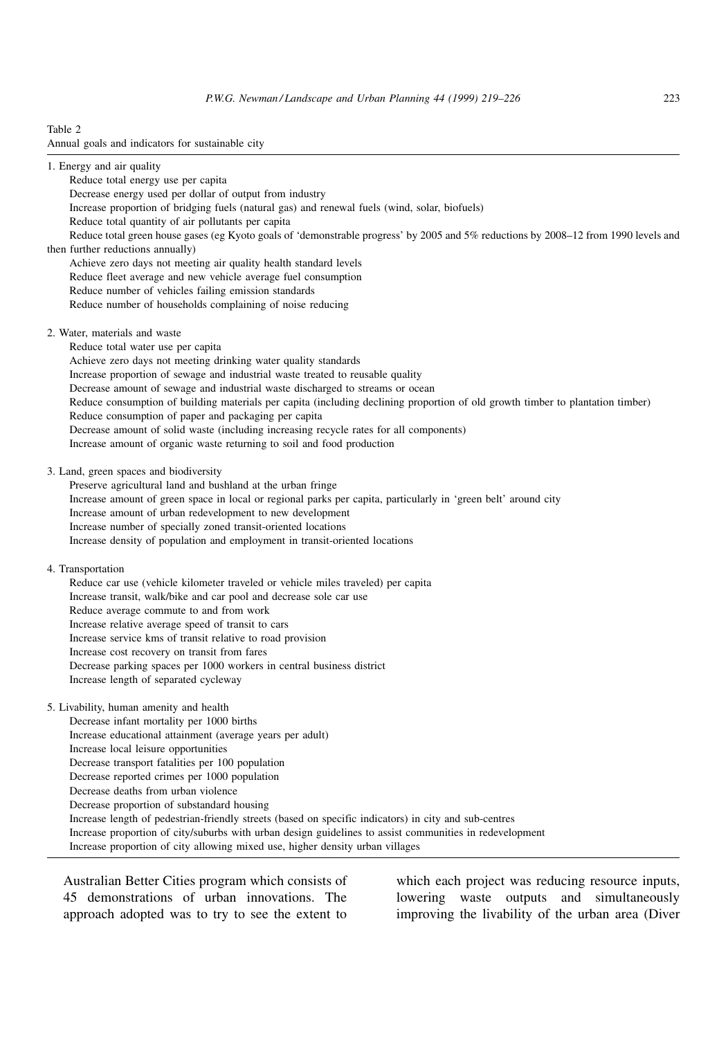Annual goals and indicators for sustainable city

1. Energy and air quality Reduce total energy use per capita Decrease energy used per dollar of output from industry Increase proportion of bridging fuels (natural gas) and renewal fuels (wind, solar, biofuels) Reduce total quantity of air pollutants per capita Reduce total green house gases (eg Kyoto goals of 'demonstrable progress' by 2005 and 5% reductions by 2008–12 from 1990 levels and then further reductions annually)

Achieve zero days not meeting air quality health standard levels Reduce fleet average and new vehicle average fuel consumption Reduce number of vehicles failing emission standards Reduce number of households complaining of noise reducing

2. Water, materials and waste

Reduce total water use per capita Achieve zero days not meeting drinking water quality standards Increase proportion of sewage and industrial waste treated to reusable quality Decrease amount of sewage and industrial waste discharged to streams or ocean Reduce consumption of building materials per capita (including declining proportion of old growth timber to plantation timber) Reduce consumption of paper and packaging per capita Decrease amount of solid waste (including increasing recycle rates for all components) Increase amount of organic waste returning to soil and food production

3. Land, green spaces and biodiversity

Preserve agricultural land and bushland at the urban fringe Increase amount of green space in local or regional parks per capita, particularly in `green belt' around city Increase amount of urban redevelopment to new development Increase number of specially zoned transit-oriented locations Increase density of population and employment in transit-oriented locations

4. Transportation

Reduce car use (vehicle kilometer traveled or vehicle miles traveled) per capita Increase transit, walk/bike and car pool and decrease sole car use Reduce average commute to and from work Increase relative average speed of transit to cars Increase service kms of transit relative to road provision Increase cost recovery on transit from fares Decrease parking spaces per 1000 workers in central business district Increase length of separated cycleway

5. Livability, human amenity and health

Decrease infant mortality per 1000 births Increase educational attainment (average years per adult) Increase local leisure opportunities Decrease transport fatalities per 100 population Decrease reported crimes per 1000 population Decrease deaths from urban violence Decrease proportion of substandard housing Increase length of pedestrian-friendly streets (based on specific indicators) in city and sub-centres Increase proportion of city/suburbs with urban design guidelines to assist communities in redevelopment Increase proportion of city allowing mixed use, higher density urban villages

Australian Better Cities program which consists of 45 demonstrations of urban innovations. The approach adopted was to try to see the extent to

which each project was reducing resource inputs, lowering waste outputs and simultaneously improving the livability of the urban area (Diver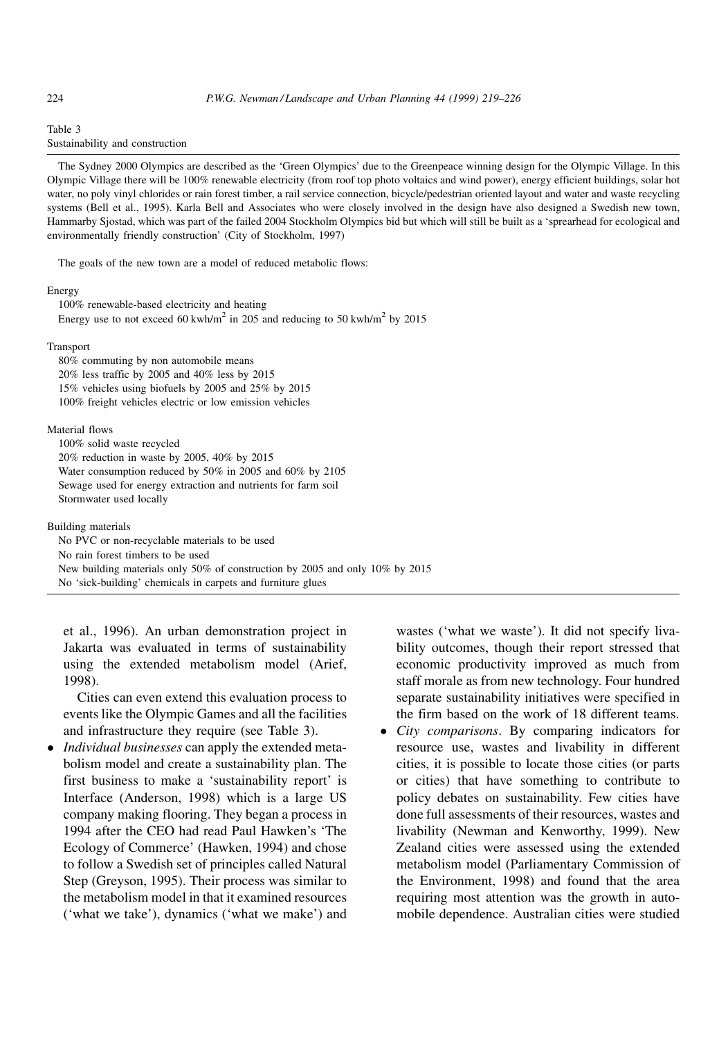Sustainability and construction

The Sydney 2000 Olympics are described as the `Green Olympics' due to the Greenpeace winning design for the Olympic Village. In this Olympic Village there will be 100% renewable electricity (from roof top photo voltaics and wind power), energy efficient buildings, solar hot water, no poly vinyl chlorides or rain forest timber, a rail service connection, bicycle/pedestrian oriented layout and water and waste recycling systems (Bell et al., 1995). Karla Bell and Associates who were closely involved in the design have also designed a Swedish new town, Hammarby Sjostad, which was part of the failed 2004 Stockholm Olympics bid but which will still be built as a 'sprearhead for ecological and environmentally friendly construction' (City of Stockholm, 1997)

The goals of the new town are a model of reduced metabolic flows:

Energy

100% renewable-based electricity and heating Energy use to not exceed 60 kwh/m<sup>2</sup> in 205 and reducing to 50 kwh/m<sup>2</sup> by 2015 Transport 80% commuting by non automobile means 20% less traffic by 2005 and 40% less by 2015 15% vehicles using biofuels by 2005 and 25% by 2015 100% freight vehicles electric or low emission vehicles Material flows 100% solid waste recycled 20% reduction in waste by 2005, 40% by 2015 Water consumption reduced by 50% in 2005 and 60% by 2105 Sewage used for energy extraction and nutrients for farm soil Stormwater used locally Building materials No PVC or non-recyclable materials to be used No rain forest timbers to be used New building materials only 50% of construction by 2005 and only 10% by 2015 No `sick-building' chemicals in carpets and furniture glues

et al., 1996). An urban demonstration project in Jakarta was evaluated in terms of sustainability using the extended metabolism model (Arief, 1998).

Cities can even extend this evaluation process to events like the Olympic Games and all the facilities and infrastructure they require (see Table 3).

 Individual businesses can apply the extended metabolism model and create a sustainability plan. The first business to make a `sustainability report' is Interface (Anderson, 1998) which is a large US company making flooring. They began a process in 1994 after the CEO had read Paul Hawken's `The Ecology of Commerce' (Hawken, 1994) and chose to follow a Swedish set of principles called Natural Step (Greyson, 1995). Their process was similar to the metabolism model in that it examined resources (`what we take'), dynamics (`what we make') and wastes ('what we waste'). It did not specify livability outcomes, though their report stressed that economic productivity improved as much from staff morale as from new technology. Four hundred separate sustainability initiatives were specified in the firm based on the work of 18 different teams.

• City comparisons. By comparing indicators for resource use, wastes and livability in different cities, it is possible to locate those cities (or parts or cities) that have something to contribute to policy debates on sustainability. Few cities have done full assessments of their resources, wastes and livability (Newman and Kenworthy, 1999). New Zealand cities were assessed using the extended metabolism model (Parliamentary Commission of the Environment, 1998) and found that the area requiring most attention was the growth in automobile dependence. Australian cities were studied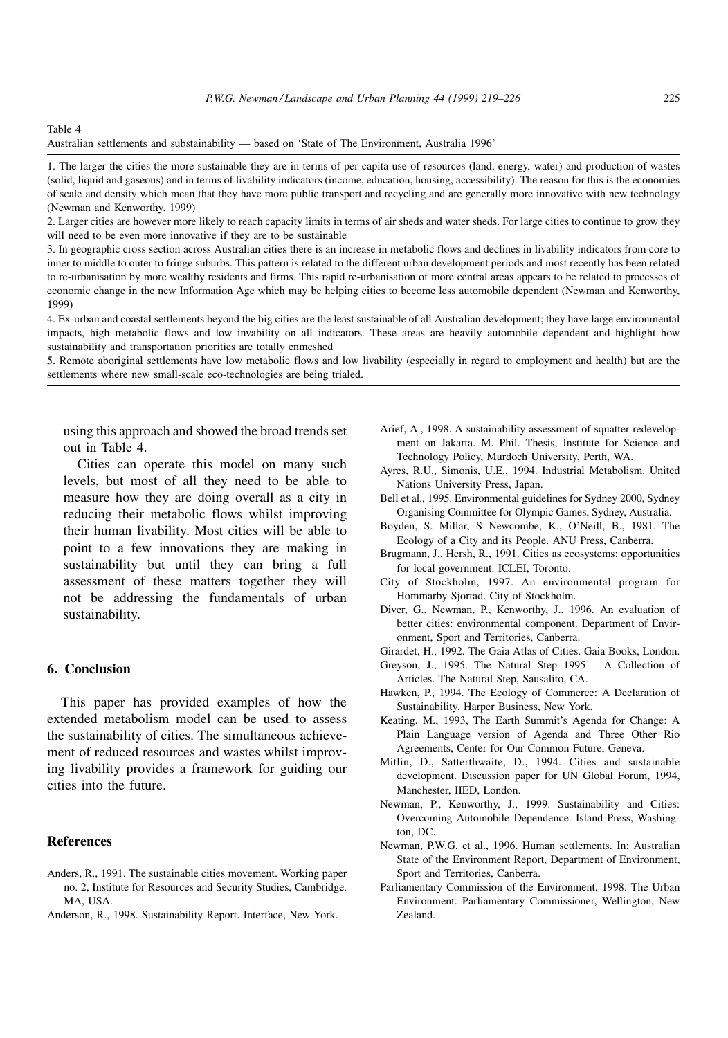Australian settlements and substainability — based on 'State of The Environment, Australia 1996'

1. The larger the cities the more sustainable they are in terms of per capita use of resources (land, energy, water) and production of wastes (solid, liquid and gaseous) and in terms of livability indicators (income, education, housing, accessibility). The reason for this is the economies of scale and density which mean that they have more public transport and recycling and are generally more innovative with new technology (Newman and Kenworthy, 1999)

2. Larger cities are however more likely to reach capacity limits in terms of air sheds and water sheds. For large cities to continue to grow they will need to be even more innovative if they are to be sustainable

3. In geographic cross section across Australian cities there is an increase in metabolic flows and declines in livability indicators from core to inner to middle to outer to fringe suburbs. This pattern is related to the different urban development periods and most recently has been related to re-urbanisation by more wealthy residents and firms. This rapid re-urbanisation of more central areas appears to be related to processes of economic change in the new Information Age which may be helping cities to become less automobile dependent (Newman and Kenworthy, 1999)

4. Ex-urban and coastal settlements beyond the big cities are the least sustainable of all Australian development; they have large environmental impacts, high metabolic flows and low invability on all indicators. These areas are heavily automobile dependent and highlight how sustainability and transportation priorities are totally enmeshed

5. Remote aboriginal settlements have low metabolic flows and low livability (especially in regard to employment and health) but are the settlements where new small-scale eco-technologies are being trialed.

using this approach and showed the broad trends set out in Table 4.

Cities can operate this model on many such levels, but most of all they need to be able to measure how they are doing overall as a city in reducing their metabolic flows whilst improving their human livability. Most cities will be able to point to a few innovations they are making in sustainability but until they can bring a full assessment of these matters together they will not be addressing the fundamentals of urban sustainability.

#### 6. Conclusion

This paper has provided examples of how the extended metabolism model can be used to assess the sustainability of cities. The simultaneous achievement of reduced resources and wastes whilst improving livability provides a framework for guiding our cities into the future.

# References

- Anders, R., 1991. The sustainable cities movement. Working paper no. 2, Institute for Resources and Security Studies, Cambridge, MA, USA.
- Anderson, R., 1998. Sustainability Report. Interface, New York.
- Arief, A., 1998. A sustainability assessment of squatter redevelopment on Jakarta. M. Phil. Thesis, Institute for Science and Technology Policy, Murdoch University, Perth, WA.
- Ayres, R.U., Simonis, U.E., 1994. Industrial Metabolism. United Nations University Press, Japan.
- Bell et al., 1995. Environmental guidelines for Sydney 2000, Sydney Organising Committee for Olympic Games, Sydney, Australia.
- Boyden, S. Millar, S Newcombe, K., O'Neill, B., 1981. The Ecology of a City and its People. ANU Press, Canberra.
- Brugmann, J., Hersh, R., 1991. Cities as ecosystems: opportunities for local government. ICLEI, Toronto.
- City of Stockholm, 1997. An environmental program for Hommarby Sjortad. City of Stockholm.
- Diver, G., Newman, P., Kenworthy, J., 1996. An evaluation of better cities: environmental component. Department of Environment, Sport and Territories, Canberra.
- Girardet, H., 1992. The Gaia Atlas of Cities. Gaia Books, London.
- Greyson, J., 1995. The Natural Step  $1995 A$  Collection of Articles. The Natural Step, Sausalito, CA.
- Hawken, P., 1994. The Ecology of Commerce: A Declaration of Sustainability. Harper Business, New York.
- Keating, M., 1993, The Earth Summit's Agenda for Change: A Plain Language version of Agenda and Three Other Rio Agreements, Center for Our Common Future, Geneva.
- Mitlin, D., Satterthwaite, D., 1994. Cities and sustainable development. Discussion paper for UN Global Forum, 1994, Manchester, IIED, London.
- Newman, P., Kenworthy, J., 1999. Sustainability and Cities: Overcoming Automobile Dependence. Island Press, Washington, DC.
- Newman, P.W.G. et al., 1996. Human settlements. In: Australian State of the Environment Report, Department of Environment, Sport and Territories, Canberra.
- Parliamentary Commission of the Environment, 1998. The Urban Environment. Parliamentary Commissioner, Wellington, New Zealand.